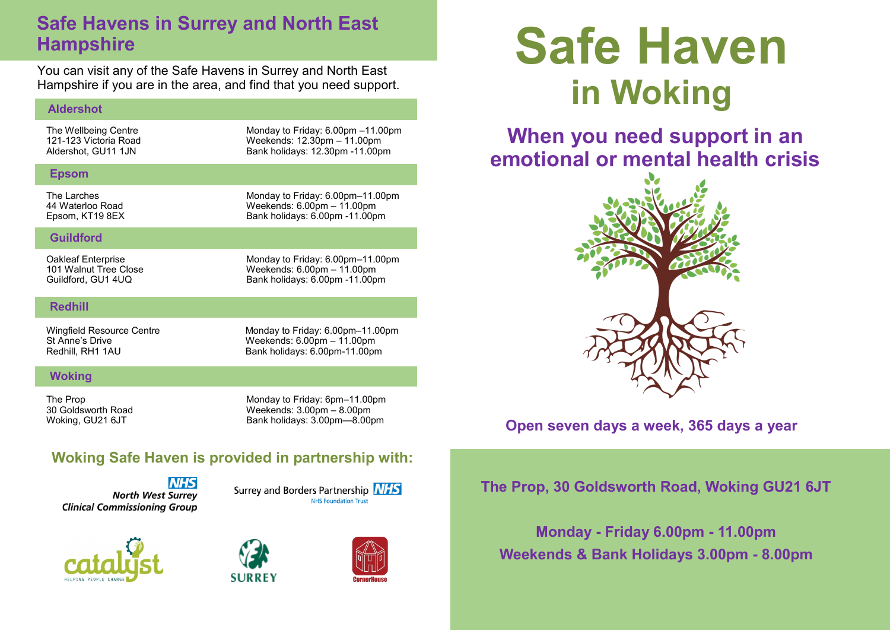## **Safe Havens in Surrey and North East Hampshire**

You can visit any of the Safe Havens in Surrey and North East Hampshire if you are in the area, and find that you need support.

#### **Aldershot**

The Wellbeing Centre 121-123 Victoria Road Aldershot, GU11 1JN

Monday to Friday: 6.00pm –11.00pm Weekends: 12.30pm – 11.00pm Bank holidays: 12.30pm -11.00pm

#### **Epsom**

The Larches 44 Waterloo Road Epsom, KT19 8EX Monday to Friday: 6.00pm–11.00pm Weekends: 6.00pm – 11.00pm Bank holidays: 6.00pm -11.00pm

#### **Guildford**

Oakleaf Enterprise 101 Walnut Tree Close Guildford, GU1 4UQ

Monday to Friday: 6.00pm–11.00pm Weekends: 6.00pm – 11.00pm Bank holidays: 6.00pm -11.00pm

#### **Redhill**

Wingfield Resource Centre St Anne's Drive Redhill, RH1 1AU

Monday to Friday: 6.00pm–11.00pm Weekends: 6.00pm – 11.00pm Bank holidays: 6.00pm-11.00pm

#### **Woking**

The Prop 30 Goldsworth Road Woking, GU21 6JT

Monday to Friday: 6pm–11.00pm Weekends: 3.00pm – 8.00pm Bank holidays: 3.00pm—8.00pm

Surrey and Borders Partnership **NHS** 

## **Woking Safe Haven is provided in partnership with:**

**NHS North West Surrey Clinical Commissioning Group** 







**NHS Foundation Trust** 

# **Safe Haven in Woking**

**When you need support in an emotional or mental health crisis**



## **Open seven days a week, 365 days a year**

## **The Prop, 30 Goldsworth Road, Woking GU21 6JT**

**Monday - Friday 6.00pm - 11.00pm Weekends & Bank Holidays 3.00pm - 8.00pm**